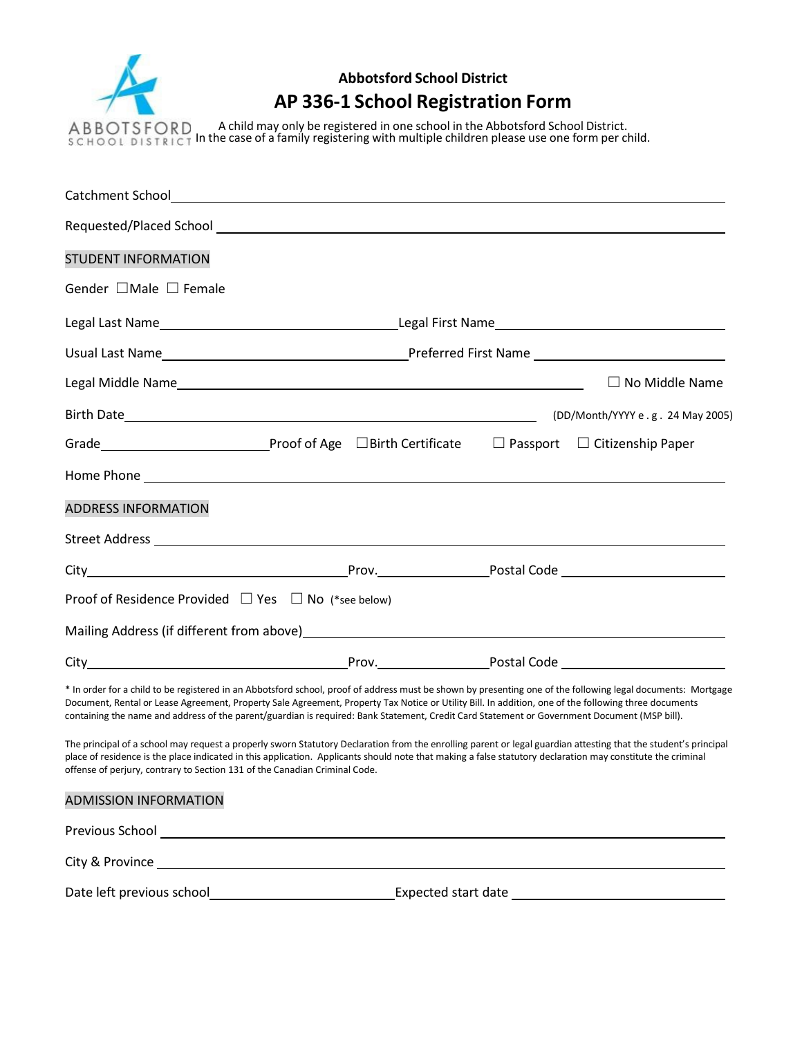

# **Abbotsford School District AP 336-1 School Registration Form**

A child may only be registered in one school in the Abbotsford School District. In the case of a family registering with multiple children please use one form per child.

| <b>STUDENT INFORMATION</b>                                                                                                                                                                                                                                                                                                                                                                                                                                           |                                                                                                                        |  |  |                                  |
|----------------------------------------------------------------------------------------------------------------------------------------------------------------------------------------------------------------------------------------------------------------------------------------------------------------------------------------------------------------------------------------------------------------------------------------------------------------------|------------------------------------------------------------------------------------------------------------------------|--|--|----------------------------------|
| Gender $\Box$ Male $\Box$ Female                                                                                                                                                                                                                                                                                                                                                                                                                                     |                                                                                                                        |  |  |                                  |
|                                                                                                                                                                                                                                                                                                                                                                                                                                                                      |                                                                                                                        |  |  |                                  |
|                                                                                                                                                                                                                                                                                                                                                                                                                                                                      |                                                                                                                        |  |  |                                  |
|                                                                                                                                                                                                                                                                                                                                                                                                                                                                      |                                                                                                                        |  |  | $\Box$ No Middle Name            |
|                                                                                                                                                                                                                                                                                                                                                                                                                                                                      |                                                                                                                        |  |  | (DD/Month/YYYY e.g. 24 May 2005) |
| Grade <b> Subset Contract Contract Contract Contract Contract Contract Contract Contract Contract Contract Contract Contract Contract Contract Contract Contract Contract Contract Contract Contract Contract Contract Contract</b>                                                                                                                                                                                                                                  |                                                                                                                        |  |  |                                  |
|                                                                                                                                                                                                                                                                                                                                                                                                                                                                      |                                                                                                                        |  |  |                                  |
| <b>ADDRESS INFORMATION</b>                                                                                                                                                                                                                                                                                                                                                                                                                                           |                                                                                                                        |  |  |                                  |
|                                                                                                                                                                                                                                                                                                                                                                                                                                                                      |                                                                                                                        |  |  |                                  |
|                                                                                                                                                                                                                                                                                                                                                                                                                                                                      |                                                                                                                        |  |  |                                  |
| <b>Proof of Residence Provided <math>\Box</math> Yes <math>\Box</math> No (*see below)</b>                                                                                                                                                                                                                                                                                                                                                                           |                                                                                                                        |  |  |                                  |
|                                                                                                                                                                                                                                                                                                                                                                                                                                                                      |                                                                                                                        |  |  |                                  |
|                                                                                                                                                                                                                                                                                                                                                                                                                                                                      |                                                                                                                        |  |  |                                  |
| * In order for a child to be registered in an Abbotsford school, proof of address must be shown by presenting one of the following legal documents: Mortgage<br>Document, Rental or Lease Agreement, Property Sale Agreement, Property Tax Notice or Utility Bill. In addition, one of the following three documents<br>containing the name and address of the parent/guardian is required: Bank Statement, Credit Card Statement or Government Document (MSP bill). |                                                                                                                        |  |  |                                  |
| The principal of a school may request a properly sworn Statutory Declaration from the enrolling parent or legal guardian attesting that the student's principal<br>place of residence is the place indicated in this application. Applicants should note that making a false statutory declaration may constitute the criminal<br>offense of perjury, contrary to Section 131 of the Canadian Criminal Code.                                                         |                                                                                                                        |  |  |                                  |
| <b>ADMISSION INFORMATION</b>                                                                                                                                                                                                                                                                                                                                                                                                                                         |                                                                                                                        |  |  |                                  |
| Previous School <u>Communications</u>                                                                                                                                                                                                                                                                                                                                                                                                                                |                                                                                                                        |  |  |                                  |
|                                                                                                                                                                                                                                                                                                                                                                                                                                                                      |                                                                                                                        |  |  |                                  |
| Date left previous school                                                                                                                                                                                                                                                                                                                                                                                                                                            | <u> 1980 - Johann Barn, mars ann an t-Aontaithe ann an t-Aontaithe ann an t-Aontaithe ann an t-Aontaithe ann an t-</u> |  |  |                                  |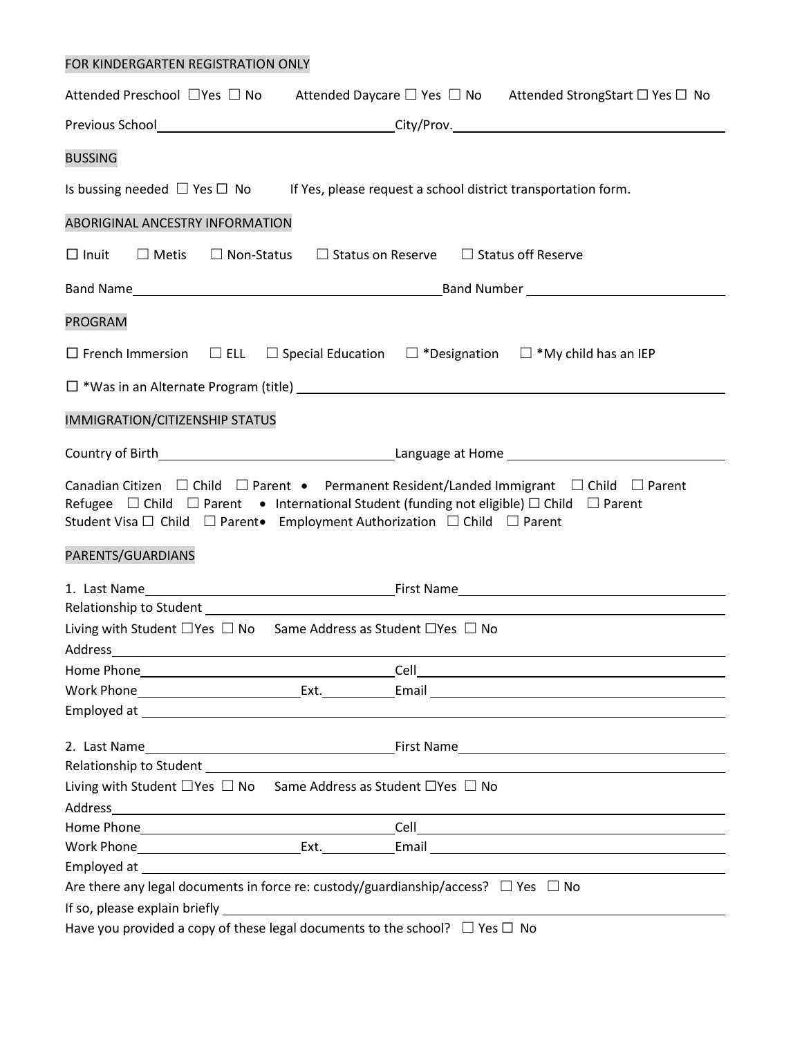## FOR KINDERGARTEN REGISTRATION ONLY

| Attended Preschool $\Box$ Yes $\Box$ No Attended Daycare $\Box$ Yes $\Box$ No Attended StrongStart $\Box$ Yes $\Box$ No                                                                                                                                                                                                                                      |                                                                                                                                                                                                                                      |  |  |  |
|--------------------------------------------------------------------------------------------------------------------------------------------------------------------------------------------------------------------------------------------------------------------------------------------------------------------------------------------------------------|--------------------------------------------------------------------------------------------------------------------------------------------------------------------------------------------------------------------------------------|--|--|--|
|                                                                                                                                                                                                                                                                                                                                                              | Previous School__________________________________City/Prov.______________________                                                                                                                                                    |  |  |  |
| <b>BUSSING</b>                                                                                                                                                                                                                                                                                                                                               |                                                                                                                                                                                                                                      |  |  |  |
| Is bussing needed $\Box$ Yes $\Box$ No If Yes, please request a school district transportation form.                                                                                                                                                                                                                                                         |                                                                                                                                                                                                                                      |  |  |  |
| ABORIGINAL ANCESTRY INFORMATION                                                                                                                                                                                                                                                                                                                              |                                                                                                                                                                                                                                      |  |  |  |
| □ Inuit □ Metis □ Non-Status □ Status on Reserve □ Status off Reserve                                                                                                                                                                                                                                                                                        |                                                                                                                                                                                                                                      |  |  |  |
|                                                                                                                                                                                                                                                                                                                                                              |                                                                                                                                                                                                                                      |  |  |  |
| <b>PROGRAM</b>                                                                                                                                                                                                                                                                                                                                               |                                                                                                                                                                                                                                      |  |  |  |
| $\Box$ French Immersion $\Box$ ELL $\Box$ Special Education $\Box$ *Designation $\Box$ *My child has an IEP                                                                                                                                                                                                                                                  |                                                                                                                                                                                                                                      |  |  |  |
|                                                                                                                                                                                                                                                                                                                                                              |                                                                                                                                                                                                                                      |  |  |  |
| <b>IMMIGRATION/CITIZENSHIP STATUS</b>                                                                                                                                                                                                                                                                                                                        |                                                                                                                                                                                                                                      |  |  |  |
|                                                                                                                                                                                                                                                                                                                                                              |                                                                                                                                                                                                                                      |  |  |  |
| Canadian Citizen $\Box$ Child $\Box$ Parent • Permanent Resident/Landed Immigrant $\Box$ Child $\Box$ Parent<br>Refugee $\Box$ Child $\Box$ Parent • International Student (funding not eligible) $\Box$ Child $\Box$ Parent<br>Student Visa $\square$ Child $\square$ Parent Employment Authorization $\square$ Child $\square$ Parent<br>PARENTS/GUARDIANS |                                                                                                                                                                                                                                      |  |  |  |
|                                                                                                                                                                                                                                                                                                                                                              |                                                                                                                                                                                                                                      |  |  |  |
|                                                                                                                                                                                                                                                                                                                                                              |                                                                                                                                                                                                                                      |  |  |  |
| Living with Student $\Box$ Yes $\Box$ No Same Address as Student $\Box$ Yes $\Box$ No                                                                                                                                                                                                                                                                        |                                                                                                                                                                                                                                      |  |  |  |
|                                                                                                                                                                                                                                                                                                                                                              |                                                                                                                                                                                                                                      |  |  |  |
|                                                                                                                                                                                                                                                                                                                                                              |                                                                                                                                                                                                                                      |  |  |  |
|                                                                                                                                                                                                                                                                                                                                                              |                                                                                                                                                                                                                                      |  |  |  |
|                                                                                                                                                                                                                                                                                                                                                              | Employed at <u>example and the contract of the contract of the contract of the contract of the contract of the contract of the contract of the contract of the contract of the contract of the contract of the contract of the c</u> |  |  |  |
| 2. Last Name                                                                                                                                                                                                                                                                                                                                                 |                                                                                                                                                                                                                                      |  |  |  |
|                                                                                                                                                                                                                                                                                                                                                              |                                                                                                                                                                                                                                      |  |  |  |
| Living with Student $\Box$ Yes $\Box$ No Same Address as Student $\Box$ Yes $\Box$ No                                                                                                                                                                                                                                                                        |                                                                                                                                                                                                                                      |  |  |  |
|                                                                                                                                                                                                                                                                                                                                                              |                                                                                                                                                                                                                                      |  |  |  |
|                                                                                                                                                                                                                                                                                                                                                              |                                                                                                                                                                                                                                      |  |  |  |
|                                                                                                                                                                                                                                                                                                                                                              |                                                                                                                                                                                                                                      |  |  |  |
|                                                                                                                                                                                                                                                                                                                                                              |                                                                                                                                                                                                                                      |  |  |  |
| Are there any legal documents in force re: custody/guardianship/access? $\Box$ Yes $\Box$ No                                                                                                                                                                                                                                                                 |                                                                                                                                                                                                                                      |  |  |  |
|                                                                                                                                                                                                                                                                                                                                                              |                                                                                                                                                                                                                                      |  |  |  |
| Have you provided a copy of these legal documents to the school? $\Box$ Yes $\Box$ No                                                                                                                                                                                                                                                                        |                                                                                                                                                                                                                                      |  |  |  |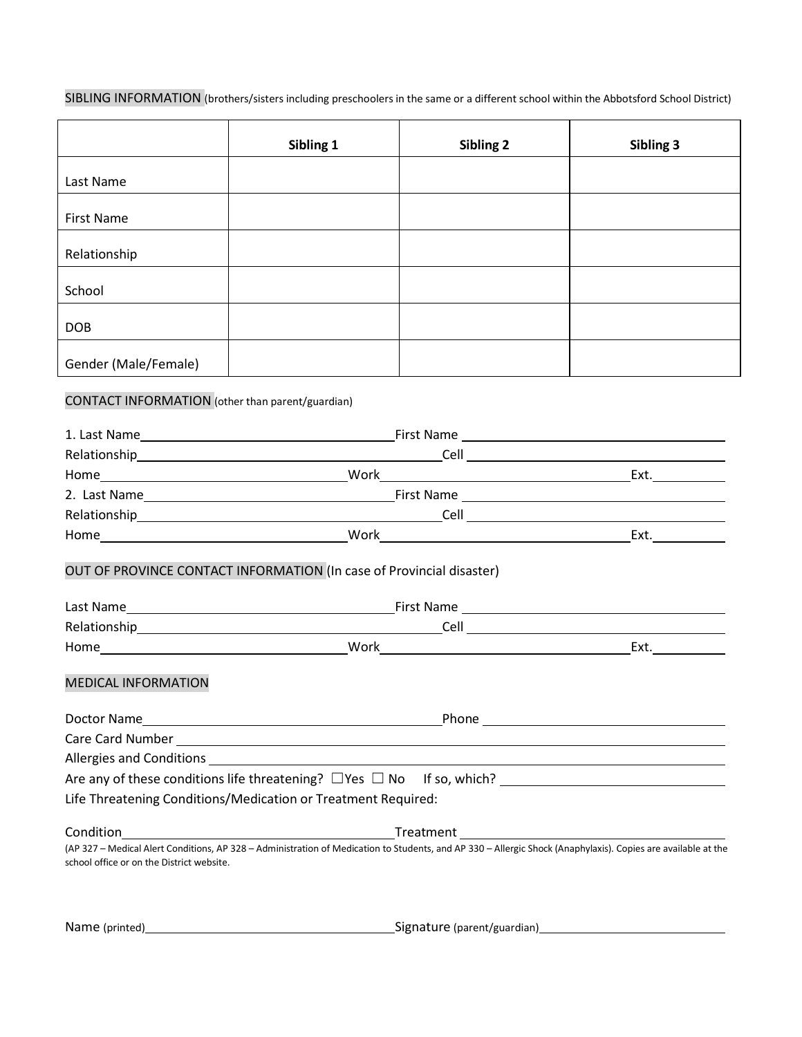SIBLING INFORMATION (brothers/sisters including preschoolers in the same or a different school within the Abbotsford School District)

|                                                         | Sibling 1                                                            | Sibling 2 | Sibling 3                                                                                                                                                     |
|---------------------------------------------------------|----------------------------------------------------------------------|-----------|---------------------------------------------------------------------------------------------------------------------------------------------------------------|
| Last Name                                               |                                                                      |           |                                                                                                                                                               |
| <b>First Name</b>                                       |                                                                      |           |                                                                                                                                                               |
| Relationship                                            |                                                                      |           |                                                                                                                                                               |
| School                                                  |                                                                      |           |                                                                                                                                                               |
| <b>DOB</b>                                              |                                                                      |           |                                                                                                                                                               |
| Gender (Male/Female)                                    |                                                                      |           |                                                                                                                                                               |
| <b>CONTACT INFORMATION</b> (other than parent/guardian) |                                                                      |           |                                                                                                                                                               |
|                                                         |                                                                      |           |                                                                                                                                                               |
|                                                         |                                                                      |           |                                                                                                                                                               |
|                                                         |                                                                      |           |                                                                                                                                                               |
|                                                         |                                                                      |           |                                                                                                                                                               |
|                                                         |                                                                      |           |                                                                                                                                                               |
|                                                         |                                                                      |           |                                                                                                                                                               |
|                                                         | OUT OF PROVINCE CONTACT INFORMATION (In case of Provincial disaster) |           |                                                                                                                                                               |
|                                                         |                                                                      |           |                                                                                                                                                               |
|                                                         |                                                                      |           |                                                                                                                                                               |
|                                                         |                                                                      |           |                                                                                                                                                               |
| <b>MEDICAL INFORMATION</b>                              |                                                                      |           |                                                                                                                                                               |
|                                                         |                                                                      |           |                                                                                                                                                               |
|                                                         |                                                                      |           |                                                                                                                                                               |
|                                                         |                                                                      |           |                                                                                                                                                               |
|                                                         |                                                                      |           |                                                                                                                                                               |
|                                                         | Life Threatening Conditions/Medication or Treatment Required:        |           |                                                                                                                                                               |
|                                                         |                                                                      |           |                                                                                                                                                               |
|                                                         |                                                                      |           | (AP 327 - Medical Alert Conditions, AP 328 - Administration of Medication to Students, and AP 330 - Allergic Shock (Anaphylaxis). Copies are available at the |
| school office or on the District website.               |                                                                      |           |                                                                                                                                                               |
|                                                         |                                                                      |           |                                                                                                                                                               |

Name (printed) Signature (parent/guardian)